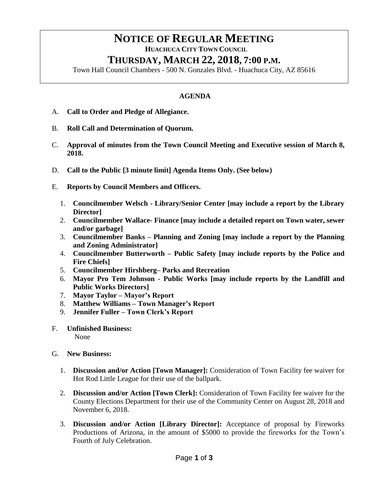# **NOTICE OF REGULAR MEETING**

 **HUACHUCA CITY TOWN COUNCIL**

# **THURSDAY, MARCH 22, 2018, 7:00 P.M.**

Town Hall Council Chambers - 500 N. Gonzales Blvd. - Huachuca City, AZ 85616

## **AGENDA**

- A. **Call to Order and Pledge of Allegiance.**
- B. **Roll Call and Determination of Quorum.**
- C. **Approval of minutes from the Town Council Meeting and Executive session of March 8, 2018.**
- D. **Call to the Public [3 minute limit] Agenda Items Only. (See below)**
- E. **Reports by Council Members and Officers.**
	- 1. **Councilmember Welsch - Library/Senior Center [may include a report by the Library Director]**
	- 2. **Councilmember Wallace- Finance [may include a detailed report on Town water, sewer and/or garbage]**
	- 3. **Councilmember Banks – Planning and Zoning [may include a report by the Planning and Zoning Administrator]**
	- 4. **Councilmember Butterworth – Public Safety [may include reports by the Police and Fire Chiefs]**
	- 5. **Councilmember Hirshberg– Parks and Recreation**
	- 6. **Mayor Pro Tem Johnson - Public Works [may include reports by the Landfill and Public Works Directors]**
	- 7. **Mayor Taylor – Mayor's Report**
	- 8. **Matthew Williams – Town Manager's Report**
	- 9. **Jennifer Fuller – Town Clerk's Report**
- F. **Unfinished Business:** None
- G. **New Business:**
	- 1. **Discussion and/or Action [Town Manager]:** Consideration of Town Facility fee waiver for Hot Rod Little League for their use of the ballpark.
	- 2. **Discussion and/or Action [Town Clerk]:** Consideration of Town Facility fee waiver for the County Elections Department for their use of the Community Center on August 28, 2018 and November 6, 2018.
	- 3. **Discussion and/or Action [Library Director]:** Acceptance of proposal by Fireworks Productions of Arizona, in the amount of \$5000 to provide the fireworks for the Town's Fourth of July Celebration.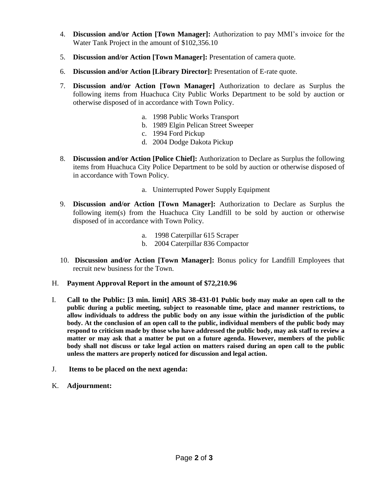- 4. **Discussion and/or Action [Town Manager]:** Authorization to pay MMI's invoice for the Water Tank Project in the amount of \$102,356.10
- 5. **Discussion and/or Action [Town Manager]:** Presentation of camera quote.
- 6. **Discussion and/or Action [Library Director]:** Presentation of E-rate quote.
- 7. **Discussion and/or Action [Town Manager]** Authorization to declare as Surplus the following items from Huachuca City Public Works Department to be sold by auction or otherwise disposed of in accordance with Town Policy.
	- a. 1998 Public Works Transport
	- b. 1989 Elgin Pelican Street Sweeper
	- c. 1994 Ford Pickup
	- d. 2004 Dodge Dakota Pickup
- 8. **Discussion and/or Action [Police Chief]:** Authorization to Declare as Surplus the following items from Huachuca City Police Department to be sold by auction or otherwise disposed of in accordance with Town Policy.
	- a. Uninterrupted Power Supply Equipment
- 9. **Discussion and/or Action [Town Manager]:** Authorization to Declare as Surplus the following item(s) from the Huachuca City Landfill to be sold by auction or otherwise disposed of in accordance with Town Policy.
	- a. 1998 Caterpillar 615 Scraper
	- b. 2004 Caterpillar 836 Compactor
- 10. **Discussion and/or Action [Town Manager]:** Bonus policy for Landfill Employees that recruit new business for the Town.
- H. **Payment Approval Report in the amount of \$72,210.96**
- I. **Call to the Public: [3 min. limit] ARS 38-431-01 Public body may make an open call to the public during a public meeting, subject to reasonable time, place and manner restrictions, to allow individuals to address the public body on any issue within the jurisdiction of the public body. At the conclusion of an open call to the public, individual members of the public body may respond to criticism made by those who have addressed the public body, may ask staff to review a matter or may ask that a matter be put on a future agenda. However, members of the public body shall not discuss or take legal action on matters raised during an open call to the public unless the matters are properly noticed for discussion and legal action.**
- J. **Items to be placed on the next agenda:**
- K. **Adjournment:**